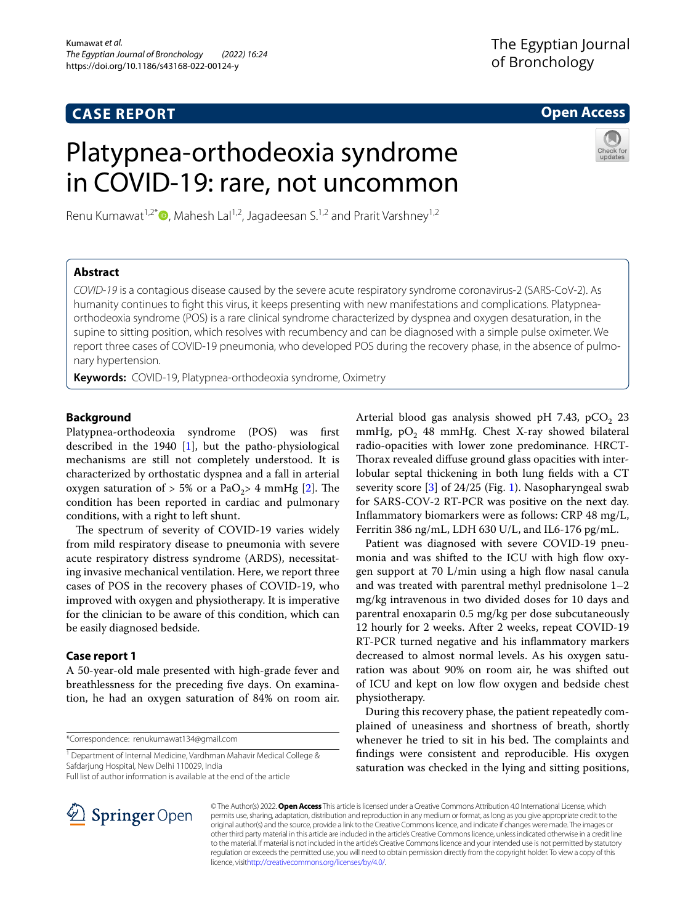# **CASE REPORT**

# **Open Access**

# Platypnea-orthodeoxia syndrome in COVID-19: rare, not uncommon

Renu Kumawat<sup>1[,](http://orcid.org/0000-0002-0848-6020)2\*</sup> $\bullet$ , Mahesh Lal<sup>1,2</sup>, Jagadeesan S.<sup>1,2</sup> and Prarit Varshney<sup>1,2</sup>



# **Abstract**

*COVID*-*19* is a contagious disease caused by the severe acute respiratory syndrome coronavirus-2 (SARS-CoV-2). As humanity continues to fght this virus, it keeps presenting with new manifestations and complications. Platypneaorthodeoxia syndrome (POS) is a rare clinical syndrome characterized by dyspnea and oxygen desaturation, in the supine to sitting position, which resolves with recumbency and can be diagnosed with a simple pulse oximeter. We report three cases of COVID-19 pneumonia, who developed POS during the recovery phase, in the absence of pulmonary hypertension.

**Keywords:** COVID-19, Platypnea-orthodeoxia syndrome, Oximetry

# **Background**

Platypnea-orthodeoxia syndrome (POS) was frst described in the 1940 [[1\]](#page-3-0), but the patho-physiological mechanisms are still not completely understood. It is characterized by orthostatic dyspnea and a fall in arterial oxygen saturation of  $> 5\%$  or a PaO<sub>[2](#page-3-1)</sub> $> 4$  mmHg [2]. The condition has been reported in cardiac and pulmonary conditions, with a right to left shunt.

The spectrum of severity of COVID-19 varies widely from mild respiratory disease to pneumonia with severe acute respiratory distress syndrome (ARDS), necessitating invasive mechanical ventilation. Here, we report three cases of POS in the recovery phases of COVID-19, who improved with oxygen and physiotherapy. It is imperative for the clinician to be aware of this condition, which can be easily diagnosed bedside.

# **Case report 1**

A 50-year-old male presented with high-grade fever and breathlessness for the preceding fve days. On examination, he had an oxygen saturation of 84% on room air.

\*Correspondence: renukumawat134@gmail.com

Full list of author information is available at the end of the article

Arterial blood gas analysis showed pH 7.43, pCO<sub>2</sub> 23 mmHg,  $pO_2$  48 mmHg. Chest X-ray showed bilateral radio-opacities with lower zone predominance. HRCT-Thorax revealed diffuse ground glass opacities with interlobular septal thickening in both lung felds with a CT severity score [[3\]](#page-3-2) of 24/25 (Fig. [1](#page-1-0)). Nasopharyngeal swab for SARS-COV-2 RT-PCR was positive on the next day. Infammatory biomarkers were as follows: CRP 48 mg/L, Ferritin 386 ng/mL, LDH 630 U/L, and IL6-176 pg/mL.

Patient was diagnosed with severe COVID-19 pneumonia and was shifted to the ICU with high flow oxygen support at 70 L/min using a high flow nasal canula and was treated with parentral methyl prednisolone 1–2 mg/kg intravenous in two divided doses for 10 days and parentral enoxaparin 0.5 mg/kg per dose subcutaneously 12 hourly for 2 weeks. After 2 weeks, repeat COVID-19 RT-PCR turned negative and his infammatory markers decreased to almost normal levels. As his oxygen saturation was about 90% on room air, he was shifted out of ICU and kept on low flow oxygen and bedside chest physiotherapy.

During this recovery phase, the patient repeatedly complained of uneasiness and shortness of breath, shortly whenever he tried to sit in his bed. The complaints and fndings were consistent and reproducible. His oxygen saturation was checked in the lying and sitting positions,



© The Author(s) 2022. **Open Access** This article is licensed under a Creative Commons Attribution 4.0 International License, which permits use, sharing, adaptation, distribution and reproduction in any medium or format, as long as you give appropriate credit to the original author(s) and the source, provide a link to the Creative Commons licence, and indicate if changes were made. The images or other third party material in this article are included in the article's Creative Commons licence, unless indicated otherwise in a credit line to the material. If material is not included in the article's Creative Commons licence and your intended use is not permitted by statutory regulation or exceeds the permitted use, you will need to obtain permission directly from the copyright holder. To view a copy of this licence, visi[thttp://creativecommons.org/licenses/by/4.0/](http://creativecommons.org/licenses/by/4.0/).

<sup>&</sup>lt;sup>1</sup> Department of Internal Medicine, Vardhman Mahavir Medical College & Safdarjung Hospital, New Delhi 110029, India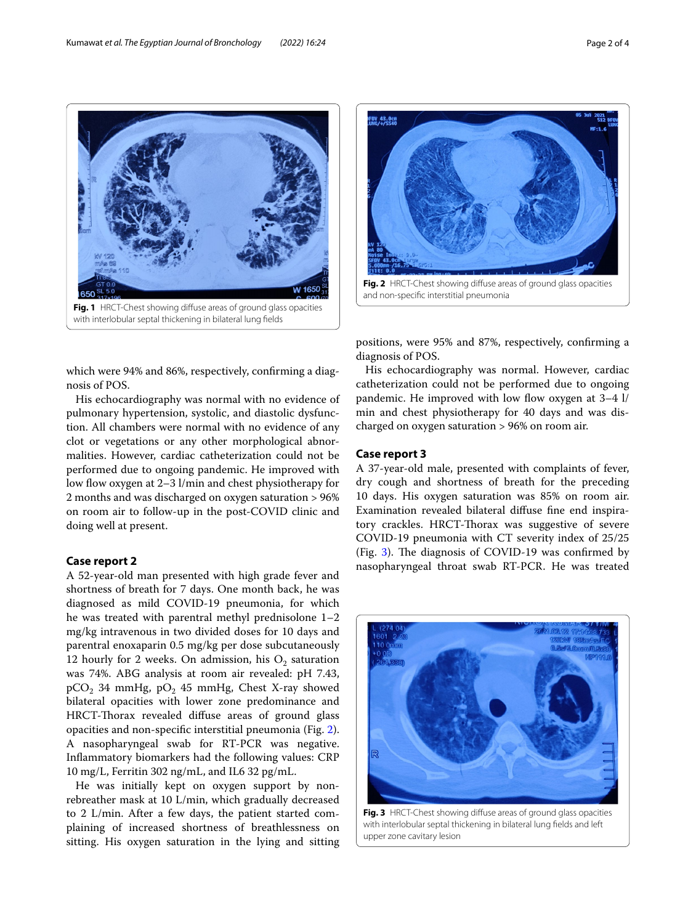



<span id="page-1-1"></span>positions, were 95% and 87%, respectively, confrming a diagnosis of POS.

<span id="page-1-0"></span>which were 94% and 86%, respectively, confrming a diagnosis of POS.

His echocardiography was normal with no evidence of pulmonary hypertension, systolic, and diastolic dysfunction. All chambers were normal with no evidence of any clot or vegetations or any other morphological abnormalities. However, cardiac catheterization could not be performed due to ongoing pandemic. He improved with low flow oxygen at 2–3 l/min and chest physiotherapy for 2 months and was discharged on oxygen saturation > 96% on room air to follow-up in the post-COVID clinic and doing well at present.

# **Case report 2**

A 52-year-old man presented with high grade fever and shortness of breath for 7 days. One month back, he was diagnosed as mild COVID-19 pneumonia, for which he was treated with parentral methyl prednisolone 1–2 mg/kg intravenous in two divided doses for 10 days and parentral enoxaparin 0.5 mg/kg per dose subcutaneously 12 hourly for 2 weeks. On admission, his  $O_2$  saturation was 74%. ABG analysis at room air revealed: pH 7.43,  $pCO<sub>2</sub>$  34 mmHg,  $pO<sub>2</sub>$  45 mmHg, Chest X-ray showed bilateral opacities with lower zone predominance and HRCT-Thorax revealed diffuse areas of ground glass opacities and non-specifc interstitial pneumonia (Fig. [2](#page-1-1)). A nasopharyngeal swab for RT-PCR was negative. Infammatory biomarkers had the following values: CRP 10 mg/L, Ferritin 302 ng/mL, and IL6 32 pg/mL.

He was initially kept on oxygen support by nonrebreather mask at 10 L/min, which gradually decreased to 2 L/min. After a few days, the patient started complaining of increased shortness of breathlessness on sitting. His oxygen saturation in the lying and sitting

His echocardiography was normal. However, cardiac catheterization could not be performed due to ongoing pandemic. He improved with low flow oxygen at  $3-4$  l/ min and chest physiotherapy for 40 days and was discharged on oxygen saturation > 96% on room air.

## **Case report 3**

A 37-year-old male, presented with complaints of fever, dry cough and shortness of breath for the preceding 10 days. His oxygen saturation was 85% on room air. Examination revealed bilateral difuse fne end inspiratory crackles. HRCT-Thorax was suggestive of severe COVID-19 pneumonia with CT severity index of 25/25 (Fig.  $3$ ). The diagnosis of COVID-19 was confirmed by nasopharyngeal throat swab RT-PCR. He was treated



<span id="page-1-2"></span>**Fig. 3** HRCT-Chest showing difuse areas of ground glass opacities with interlobular septal thickening in bilateral lung felds and left upper zone cavitary lesion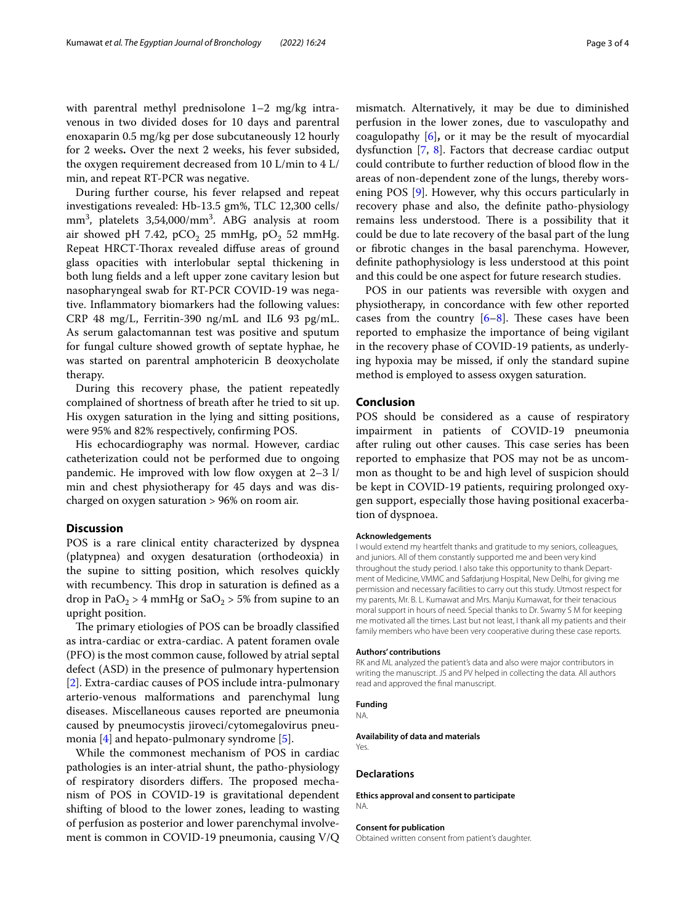with parentral methyl prednisolone 1–2 mg/kg intravenous in two divided doses for 10 days and parentral enoxaparin 0.5 mg/kg per dose subcutaneously 12 hourly for 2 weeks**.** Over the next 2 weeks, his fever subsided, the oxygen requirement decreased from 10 L/min to 4 L/ min, and repeat RT-PCR was negative.

During further course, his fever relapsed and repeat investigations revealed: Hb-13.5 gm%, TLC 12,300 cells/ mm3 , platelets 3,54,000/mm3 . ABG analysis at room air showed pH 7.42, pCO<sub>2</sub> 25 mmHg, pO<sub>2</sub> 52 mmHg. Repeat HRCT-Torax revealed difuse areas of ground glass opacities with interlobular septal thickening in both lung felds and a left upper zone cavitary lesion but nasopharyngeal swab for RT-PCR COVID-19 was negative. Infammatory biomarkers had the following values: CRP 48 mg/L, Ferritin-390 ng/mL and IL6 93 pg/mL. As serum galactomannan test was positive and sputum for fungal culture showed growth of septate hyphae, he was started on parentral amphotericin B deoxycholate therapy.

During this recovery phase, the patient repeatedly complained of shortness of breath after he tried to sit up. His oxygen saturation in the lying and sitting positions, were 95% and 82% respectively, confrming POS.

His echocardiography was normal. However, cardiac catheterization could not be performed due to ongoing pandemic. He improved with low flow oxygen at  $2-3$  l/ min and chest physiotherapy for 45 days and was discharged on oxygen saturation > 96% on room air.

## **Discussion**

POS is a rare clinical entity characterized by dyspnea (platypnea) and oxygen desaturation (orthodeoxia) in the supine to sitting position, which resolves quickly with recumbency. This drop in saturation is defined as a drop in PaO<sub>2</sub> > 4 mmHg or SaO<sub>2</sub> > 5% from supine to an upright position.

The primary etiologies of POS can be broadly classified as intra-cardiac or extra-cardiac. A patent foramen ovale (PFO) is the most common cause, followed by atrial septal defect (ASD) in the presence of pulmonary hypertension [[2\]](#page-3-1). Extra-cardiac causes of POS include intra-pulmonary arterio-venous malformations and parenchymal lung diseases. Miscellaneous causes reported are pneumonia caused by pneumocystis jiroveci/cytomegalovirus pneumonia [\[4](#page-3-3)] and hepato-pulmonary syndrome [\[5](#page-3-4)].

While the commonest mechanism of POS in cardiac pathologies is an inter-atrial shunt, the patho-physiology of respiratory disorders differs. The proposed mechanism of POS in COVID-19 is gravitational dependent shifting of blood to the lower zones, leading to wasting of perfusion as posterior and lower parenchymal involvement is common in COVID-19 pneumonia, causing V/Q mismatch. Alternatively, it may be due to diminished perfusion in the lower zones, due to vasculopathy and coagulopathy [\[6](#page-3-5)]**,** or it may be the result of myocardial dysfunction  $[7, 8]$  $[7, 8]$  $[7, 8]$ . Factors that decrease cardiac output could contribute to further reduction of blood flow in the areas of non-dependent zone of the lungs, thereby wors-ening POS [[9\]](#page-3-8). However, why this occurs particularly in recovery phase and also, the defnite patho-physiology remains less understood. There is a possibility that it could be due to late recovery of the basal part of the lung or fbrotic changes in the basal parenchyma. However, defnite pathophysiology is less understood at this point and this could be one aspect for future research studies.

POS in our patients was reversible with oxygen and physiotherapy, in concordance with few other reported cases from the country  $[6-8]$  $[6-8]$  $[6-8]$ . These cases have been reported to emphasize the importance of being vigilant in the recovery phase of COVID-19 patients, as underlying hypoxia may be missed, if only the standard supine method is employed to assess oxygen saturation.

## **Conclusion**

POS should be considered as a cause of respiratory impairment in patients of COVID-19 pneumonia after ruling out other causes. This case series has been reported to emphasize that POS may not be as uncommon as thought to be and high level of suspicion should be kept in COVID-19 patients, requiring prolonged oxygen support, especially those having positional exacerbation of dyspnoea.

#### **Acknowledgements**

I would extend my heartfelt thanks and gratitude to my seniors, colleagues, and juniors. All of them constantly supported me and been very kind throughout the study period. I also take this opportunity to thank Department of Medicine, VMMC and Safdarjung Hospital, New Delhi, for giving me permission and necessary facilities to carry out this study. Utmost respect for my parents, Mr. B. L. Kumawat and Mrs. Manju Kumawat, for their tenacious moral support in hours of need. Special thanks to Dr. Swamy S M for keeping me motivated all the times. Last but not least, I thank all my patients and their family members who have been very cooperative during these case reports.

#### **Authors' contributions**

RK and ML analyzed the patient's data and also were major contributors in writing the manuscript. JS and PV helped in collecting the data. All authors read and approved the fnal manuscript.

## **Funding**

NA.

**Availability of data and materials** Yes.

#### **Declarations**

**Ethics approval and consent to participate** NA.

#### **Consent for publication**

Obtained written consent from patient's daughter.